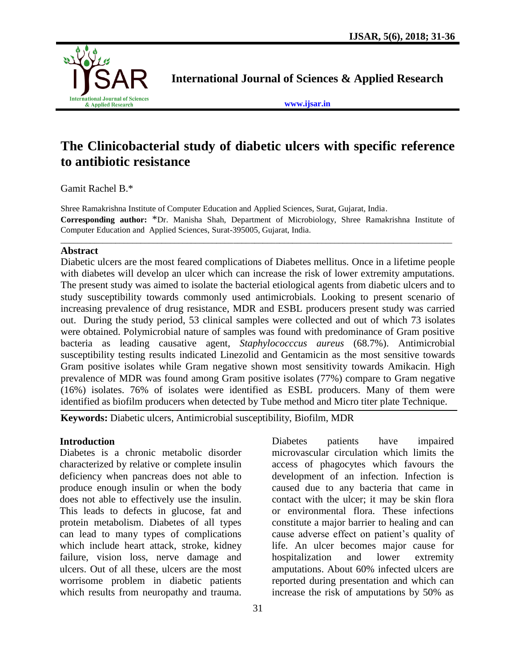

**International Journal of Sciences & Applied Research**

**[www.ijsar.in](http://www.ijsar.in/)**

# **The Clinicobacterial study of diabetic ulcers with specific reference to antibiotic resistance**

Gamit Rachel B.\*

Shree Ramakrishna Institute of Computer Education and Applied Sciences, Surat, Gujarat, India. **Corresponding author:** \*Dr. Manisha Shah, Department of Microbiology, Shree Ramakrishna Institute of Computer Education and Applied Sciences, Surat-395005, Gujarat, India.

\_\_\_\_\_\_\_\_\_\_\_\_\_\_\_\_\_\_\_\_\_\_\_\_\_\_\_\_\_\_\_\_\_\_\_\_\_\_\_\_\_\_\_\_\_\_\_\_\_\_\_\_\_\_\_\_\_\_\_\_\_\_\_\_\_\_\_\_\_\_\_\_\_\_\_\_\_\_\_\_\_\_\_\_\_\_\_\_\_\_\_\_\_

#### **Abstract**

Diabetic ulcers are the most feared complications of Diabetes mellitus. Once in a lifetime people with diabetes will develop an ulcer which can increase the risk of lower extremity amputations. The present study was aimed to isolate the bacterial etiological agents from diabetic ulcers and to study susceptibility towards commonly used antimicrobials. Looking to present scenario of increasing prevalence of drug resistance, MDR and ESBL producers present study was carried out. During the study period, 53 clinical samples were collected and out of which 73 isolates were obtained. Polymicrobial nature of samples was found with predominance of Gram positive bacteria as leading causative agent, *Staphylococccus aureus* (68.7%). Antimicrobial susceptibility testing results indicated Linezolid and Gentamicin as the most sensitive towards Gram positive isolates while Gram negative shown most sensitivity towards Amikacin. High prevalence of MDR was found among Gram positive isolates (77%) compare to Gram negative (16%) isolates. 76% of isolates were identified as ESBL producers. Many of them were identified as biofilm producers when detected by Tube method and Micro titer plate Technique.

**Keywords:** Diabetic ulcers, Antimicrobial susceptibility, Biofilm, MDR

## **Introduction**

Diabetes is a chronic metabolic disorder characterized by relative or complete insulin deficiency when pancreas does not able to produce enough insulin or when the body does not able to effectively use the insulin. This leads to defects in glucose, fat and protein metabolism. Diabetes of all types can lead to many types of complications which include heart attack, stroke, kidney failure, vision loss, nerve damage and ulcers. Out of all these, ulcers are the most worrisome problem in diabetic patients which results from neuropathy and trauma. Diabetes patients have impaired microvascular circulation which limits the access of phagocytes which favours the development of an infection. Infection is caused due to any bacteria that came in contact with the ulcer; it may be skin flora or environmental flora. These infections constitute a major barrier to healing and can cause adverse effect on patient's quality of life. An ulcer becomes major cause for hospitalization and lower extremity amputations. About 60% infected ulcers are reported during presentation and which can increase the risk of amputations by 50% as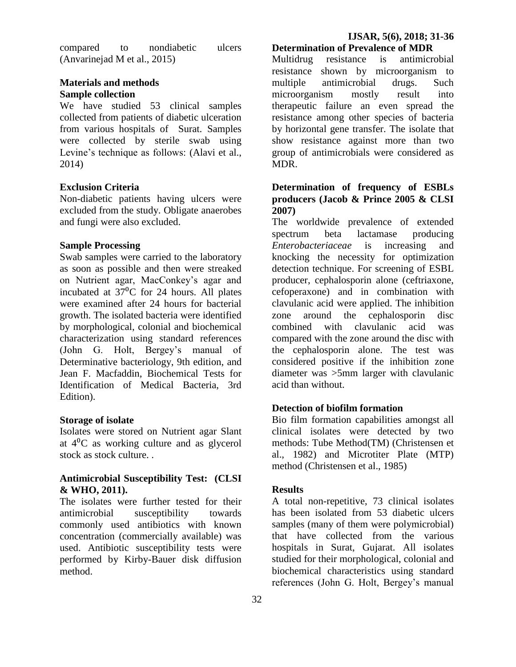compared to nondiabetic ulcers (Anvarinejad M et al., 2015)

### **Materials and methods Sample collection**

We have studied 53 clinical samples collected from patients of diabetic ulceration from various hospitals of Surat. Samples were collected by sterile swab using Levine's technique as follows: (Alavi et al., 2014)

# **Exclusion Criteria**

Non-diabetic patients having ulcers were excluded from the study. Obligate anaerobes and fungi were also excluded.

## **Sample Processing**

Swab samples were carried to the laboratory as soon as possible and then were streaked on Nutrient agar, MacConkey's agar and incubated at  $37^{\circ}$ C for 24 hours. All plates were examined after 24 hours for bacterial growth. The isolated bacteria were identified by morphological, colonial and biochemical characterization using standard references (John G. Holt, Bergey's manual of Determinative bacteriology, 9th edition, and Jean F. Macfaddin, Biochemical Tests for Identification of Medical Bacteria, 3rd Edition).

### **Storage of isolate**

Isolates were stored on Nutrient agar Slant at  $4^{\circ}$ C as working culture and as glycerol stock as stock culture. .

### **Antimicrobial Susceptibility Test: (CLSI & WHO, 2011).**

The isolates were further tested for their antimicrobial susceptibility towards commonly used antibiotics with known concentration (commercially available) was used. Antibiotic susceptibility tests were performed by Kirby-Bauer disk diffusion method.

### **Determination of Prevalence of MDR**

Multidrug resistance is antimicrobial resistance shown by microorganism to multiple antimicrobial drugs. Such microorganism mostly result into therapeutic failure an even spread the resistance among other species of bacteria by horizontal gene transfer. The isolate that show resistance against more than two group of antimicrobials were considered as MDR.

## **Determination of frequency of ESBLs producers (Jacob & Prince 2005 & CLSI 2007)**

The worldwide prevalence of extended spectrum beta lactamase producing *Enterobacteriaceae* is increasing and knocking the necessity for optimization detection technique. For screening of ESBL producer, cephalosporin alone (ceftriaxone, cefoperaxone) and in combination with clavulanic acid were applied. The inhibition zone around the cephalosporin disc combined with clavulanic acid was compared with the zone around the disc with the cephalosporin alone. The test was considered positive if the inhibition zone diameter was >5mm larger with clavulanic acid than without.

# **Detection of biofilm formation**

Bio film formation capabilities amongst all clinical isolates were detected by two methods: Tube Method(TM) (Christensen et al., 1982) and Microtiter Plate (MTP) method (Christensen et al., 1985)

## **Results**

A total non-repetitive, 73 clinical isolates has been isolated from 53 diabetic ulcers samples (many of them were polymicrobial) that have collected from the various hospitals in Surat, Gujarat. All isolates studied for their morphological, colonial and biochemical characteristics using standard references (John G. Holt, Bergey's manual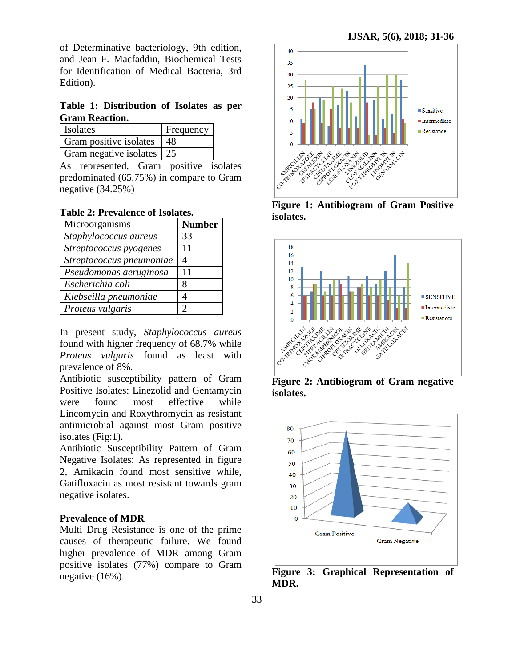of Determinative bacteriology, 9th edition, and Jean F. Macfaddin, Biochemical Tests for Identification of Medical Bacteria, 3rd Edition).

**Table 1: Distribution of Isolates as per Gram Reaction.**

| Isolates                    | <b>Frequency</b> |
|-----------------------------|------------------|
| Gram positive isolates   48 |                  |
| Gram negative isolates   25 |                  |

As represented, Gram positive isolates predominated (65.75%) in compare to Gram negative (34.25%)

**Table 2: Prevalence of Isolates.**

| Microorganisms           | <b>Number</b> |
|--------------------------|---------------|
| Staphylococcus aureus    | 33            |
| Streptococcus pyogenes   | 11            |
| Streptococcus pneumoniae | 4             |
| Pseudomonas aeruginosa   | 11            |
| Escherichia coli         | 8             |
| Klebseilla pneumoniae    |               |
| Proteus vulgaris         | っ             |

In present study, *Staphylococcus aureus* found with higher frequency of 68.7% while *Proteus vulgaris* found as least with prevalence of 8%.

Antibiotic susceptibility pattern of Gram Positive Isolates: Linezolid and Gentamycin were found most effective while Lincomycin and Roxythromycin as resistant antimicrobial against most Gram positive isolates (Fig:1).

Antibiotic Susceptibility Pattern of Gram Negative Isolates: As represented in figure 2, Amikacin found most sensitive while, Gatifloxacin as most resistant towards gram negative isolates.

#### **Prevalence of MDR**

Multi Drug Resistance is one of the prime causes of therapeutic failure. We found higher prevalence of MDR among Gram positive isolates (77%) compare to Gram negative (16%).



**Figure 1: Antibiogram of Gram Positive isolates.**



**Figure 2: Antibiogram of Gram negative isolates.**



**Figure 3: Graphical Representation of MDR.**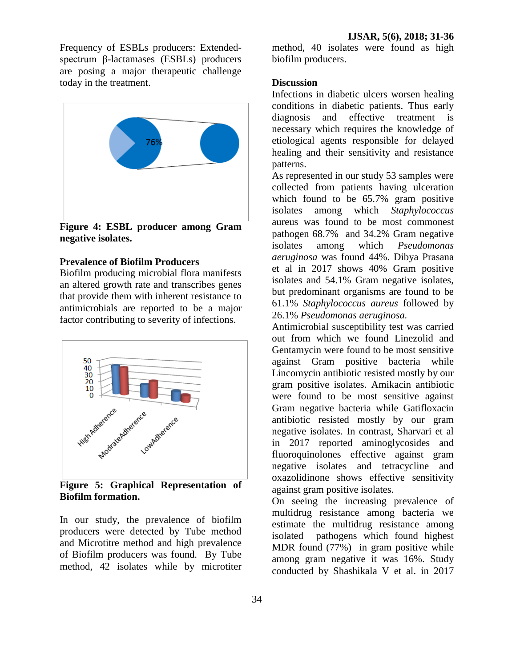Frequency of ESBLs producers: Extendedspectrum β-lactamases (ESBLs) producers are posing a major therapeutic challenge today in the treatment.



**Figure 4: ESBL producer among Gram negative isolates.**

# **Prevalence of Biofilm Producers**

Biofilm producing microbial flora manifests an altered growth rate and transcribes genes that provide them with inherent resistance to antimicrobials are reported to be a major factor contributing to severity of infections.



**Figure 5: Graphical Representation of Biofilm formation.**

In our study, the prevalence of biofilm producers were detected by Tube method and Microtitre method and high prevalence of Biofilm producers was found. By Tube method, 42 isolates while by microtiter

34

method, 40 isolates were found as high biofilm producers.

#### **Discussion**

Infections in diabetic ulcers worsen healing conditions in diabetic patients. Thus early diagnosis and effective treatment is necessary which requires the knowledge of etiological agents responsible for delayed healing and their sensitivity and resistance patterns.

As represented in our study 53 samples were collected from patients having ulceration which found to be 65.7% gram positive isolates among which *Staphylococcus*  aureus was found to be most commonest pathogen 68.7% and 34.2% Gram negative isolates among which *Pseudomonas aeruginosa* was found 44%. Dibya Prasana et al in 2017 shows 40% Gram positive isolates and 54.1% Gram negative isolates, but predominant organisms are found to be 61.1% *Staphylococcus aureus* followed by 26.1% *Pseudomonas aeruginosa.*

Antimicrobial susceptibility test was carried out from which we found Linezolid and Gentamycin were found to be most sensitive against Gram positive bacteria while Lincomycin antibiotic resisted mostly by our gram positive isolates. Amikacin antibiotic were found to be most sensitive against Gram negative bacteria while Gatifloxacin antibiotic resisted mostly by our gram negative isolates. In contrast, Sharvari et al in 2017 reported aminoglycosides and fluoroquinolones effective against gram negative isolates and tetracycline and oxazolidinone shows effective sensitivity against gram positive isolates.

On seeing the increasing prevalence of multidrug resistance among bacteria we estimate the multidrug resistance among isolated pathogens which found highest MDR found (77%) in gram positive while among gram negative it was 16%. Study conducted by Shashikala V et al. in 2017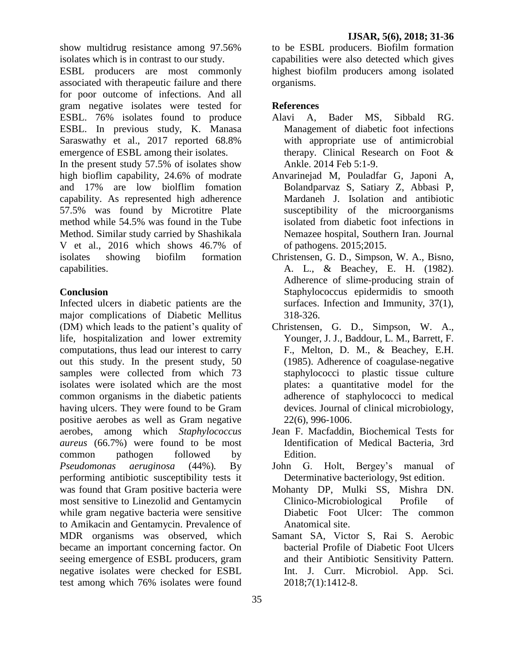show multidrug resistance among 97.56% isolates which is in contrast to our study.

ESBL producers are most commonly associated with therapeutic failure and there for poor outcome of infections. And all gram negative isolates were tested for ESBL. 76% isolates found to produce ESBL. In previous study, K. Manasa Saraswathy et al., 2017 reported 68.8% emergence of ESBL among their isolates.

In the present study 57.5% of isolates show high bioflim capability, 24.6% of modrate and 17% are low biolflim fomation capability. As represented high adherence 57.5% was found by Microtitre Plate method while 54.5% was found in the Tube Method. Similar study carried by Shashikala V et al., 2016 which shows 46.7% of isolates showing biofilm formation capabilities.

# **Conclusion**

Infected ulcers in diabetic patients are the major complications of Diabetic Mellitus (DM) which leads to the patient's quality of life, hospitalization and lower extremity computations, thus lead our interest to carry out this study. In the present study, 50 samples were collected from which 73 isolates were isolated which are the most common organisms in the diabetic patients having ulcers. They were found to be Gram positive aerobes as well as Gram negative aerobes, among which *Staphylococcus aureus* (66.7%) were found to be most common pathogen followed by *Pseudomonas aeruginosa* (44%)*.* By performing antibiotic susceptibility tests it was found that Gram positive bacteria were most sensitive to Linezolid and Gentamycin while gram negative bacteria were sensitive to Amikacin and Gentamycin. Prevalence of MDR organisms was observed, which became an important concerning factor. On seeing emergence of ESBL producers, gram negative isolates were checked for ESBL test among which 76% isolates were found

to be ESBL producers. Biofilm formation capabilities were also detected which gives highest biofilm producers among isolated organisms.

# **References**

- Alavi A, Bader MS, Sibbald RG. Management of diabetic foot infections with appropriate use of antimicrobial therapy. Clinical Research on Foot & Ankle. 2014 Feb 5:1-9.
- Anvarinejad M, Pouladfar G, Japoni A, Bolandparvaz S, Satiary Z, Abbasi P, Mardaneh J. Isolation and antibiotic susceptibility of the microorganisms isolated from diabetic foot infections in Nemazee hospital, Southern Iran. Journal of pathogens. 2015;2015.
- Christensen, G. D., Simpson, W. A., Bisno, A. L., & Beachey, E. H. (1982). Adherence of slime-producing strain of Staphylococcus epidermidis to smooth surfaces. Infection and Immunity, 37(1), 318-326.
- Christensen, G. D., Simpson, W. A., Younger, J. J., Baddour, L. M., Barrett, F. F., Melton, D. M., & Beachey, E.H. (1985). Adherence of coagulase-negative staphylococci to plastic tissue culture plates: a quantitative model for the adherence of staphylococci to medical devices. Journal of clinical microbiology, 22(6), 996-1006.
- Jean F. Macfaddin, Biochemical Tests for Identification of Medical Bacteria, 3rd Edition.
- John G. Holt, Bergey's manual of Determinative bacteriology, 9st edition.
- Mohanty DP, Mulki SS, Mishra DN. Clinico-Microbiological Profile of Diabetic Foot Ulcer: The common Anatomical site.
- Samant SA, Victor S, Rai S. Aerobic bacterial Profile of Diabetic Foot Ulcers and their Antibiotic Sensitivity Pattern. Int. J. Curr. Microbiol. App. Sci. 2018;7(1):1412-8.